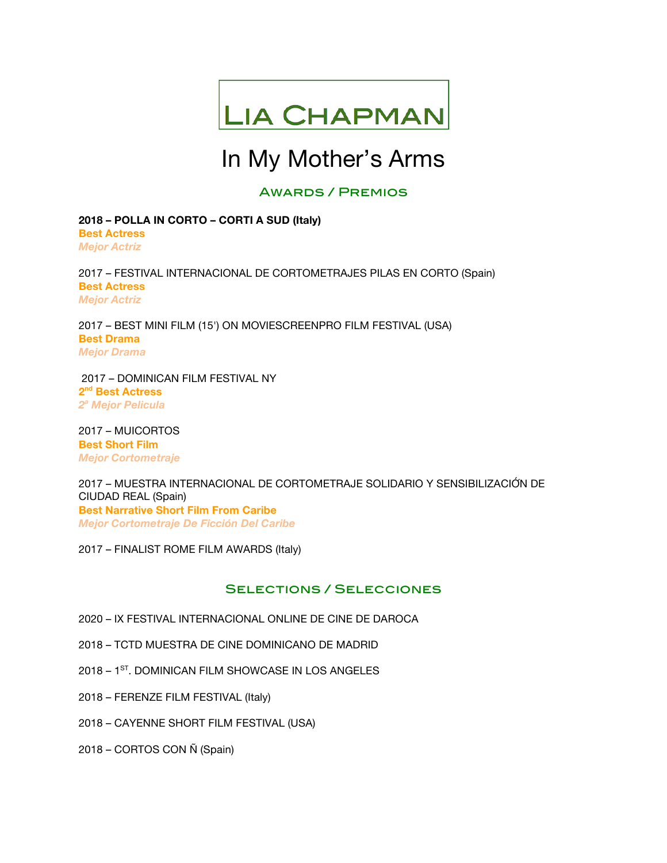

# In My Mother's Arms

## Awards / Premios

**2018 – POLLA IN CORTO – CORTI A SUD (Italy) Best Actress** *Mejor Actriz*

2017 – FESTIVAL INTERNACIONAL DE CORTOMETRAJES PILAS EN CORTO (Spain) **Best Actress** *Mejor Actriz*

2017 – BEST MINI FILM (15') ON MOVIESCREENPRO FILM FESTIVAL (USA) **Best Drama** *Mejor Drama*

 2017 – DOMINICAN FILM FESTIVAL NY **2nd Best Actress** *2a Mejor Pelicula*

2017 – MUICORTOS **Best Short Film** *Mejor Cortometraje*

2017 – MUESTRA INTERNACIONAL DE CORTOMETRAJE SOLIDARIO Y SENSIBILIZACIÓ́N DE CIUDAD REAL (Spain) **Best Narrative Short Film From Caribe** *Mejor Cortometraje De Ficción Del Caribe*

2017 – FINALIST ROME FILM AWARDS (Italy)

## Selections / Selecciones

- 2020 IX FESTIVAL INTERNACIONAL ONLINE DE CINE DE DAROCA
- 2018 TCTD MUESTRA DE CINE DOMINICANO DE MADRID
- 2018 1<sup>ST</sup>. DOMINICAN FILM SHOWCASE IN LOS ANGELES
- 2018 FERENZE FILM FESTIVAL (Italy)
- 2018 CAYENNE SHORT FILM FESTIVAL (USA)
- 2018 CORTOS CON Ñ (Spain)